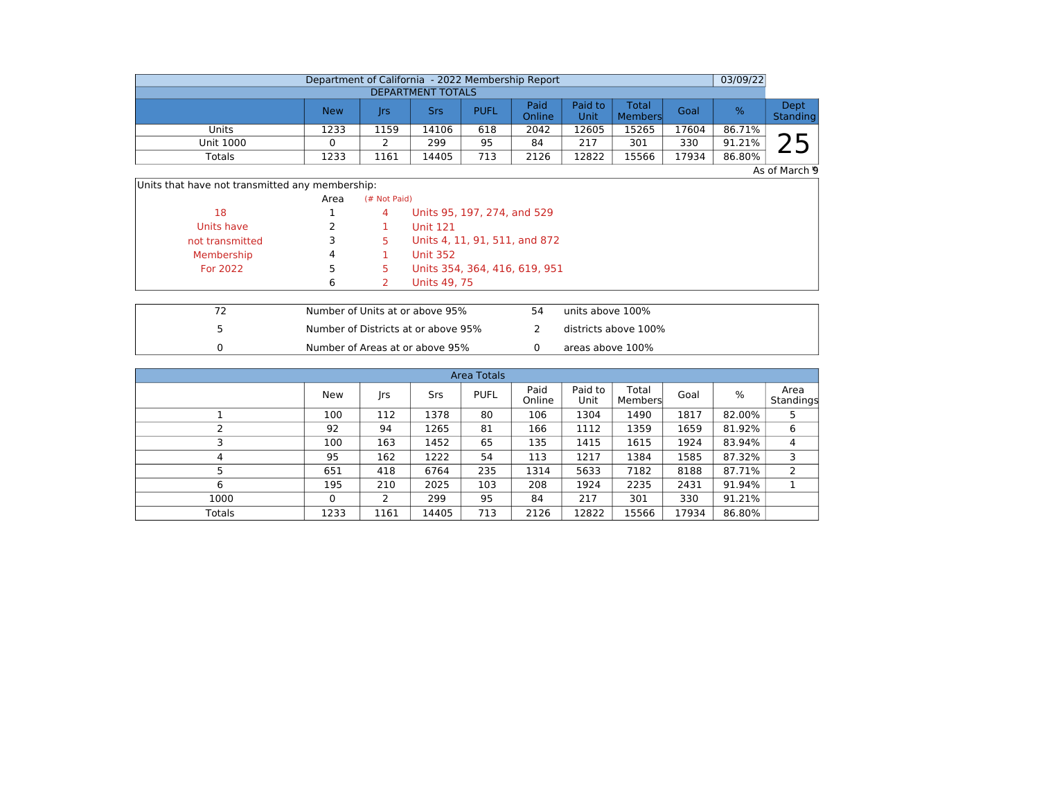|                          | Department of California - 2022 Membership Report |      |       |             |                |                 |                  |       | 03/09/22 |                  |  |  |  |
|--------------------------|---------------------------------------------------|------|-------|-------------|----------------|-----------------|------------------|-------|----------|------------------|--|--|--|
| <b>DEPARTMENT TOTALS</b> |                                                   |      |       |             |                |                 |                  |       |          |                  |  |  |  |
|                          | <b>New</b>                                        | Irs  | Srs   | <b>PUFL</b> | Paid<br>Online | Paid to<br>Unit | Total<br>Members | Goal  | ℅        | Dept<br>Standing |  |  |  |
| Units                    | 1233                                              | 1159 | 14106 | 618         | 2042           | L2605           | 15265            | 17604 | 86.71%   | ⌒ 冖              |  |  |  |
| <b>Unit 1000</b>         |                                                   |      | 299   | 95          | 84             | 217             | 301              | 330   | 91.21%   |                  |  |  |  |
| Totals                   | 1233                                              | 1161 | 14405 | 713         | 2126           | 12822           | 15566            | 17934 | 86.80%   |                  |  |  |  |

 $As$  of March  $\overline{9}$ 

|  | Units that have not transmitted any membership: |  |  |
|--|-------------------------------------------------|--|--|
|  |                                                 |  |  |

|                 | Area | (# Not Paid) |                               |
|-----------------|------|--------------|-------------------------------|
| 18              |      | 4            | Units 95, 197, 274, and 529   |
| Units have      |      |              | <b>Unit 121</b>               |
| not transmitted |      | 5.           | Units 4, 11, 91, 511, and 872 |
| Membership      | 4    |              | <b>Unit 352</b>               |
| For 2022        |      |              | Units 354, 364, 416, 619, 951 |
|                 | 6    |              | Units 49, 75                  |

|  | Number of Units at or above 95%     | 54 | units above 100%     |
|--|-------------------------------------|----|----------------------|
|  | Number of Districts at or above 95% |    | districts above 100% |
|  | Number of Areas at or above 95%     |    | areas above 100%     |

| <b>Area Totals</b> |          |      |       |             |                |                 |                  |       |        |                   |  |  |  |  |
|--------------------|----------|------|-------|-------------|----------------|-----------------|------------------|-------|--------|-------------------|--|--|--|--|
|                    | New      | Jrs  | Srs   | <b>PUFL</b> | Paid<br>Online | Paid to<br>Unit | Total<br>Members | Goal  | %      | Area<br>Standings |  |  |  |  |
|                    | 100      | 112  | 1378  | 80          | 106            | 1304            | 1490             | 1817  | 82.00% | 5                 |  |  |  |  |
|                    | 92       | 94   | 1265  | 81          | 166            | 1112            | 1359             | 1659  | 81.92% | 6                 |  |  |  |  |
|                    | 100      | 163  | 1452  | 65          | 135            | 1415            | 1615             | 1924  | 83.94% | 4                 |  |  |  |  |
| 4                  | 95       | 162  | 1222  | 54          | 113            | 1217            | 1384             | 1585  | 87.32% | 3                 |  |  |  |  |
|                    | 651      | 418  | 6764  | 235         | 1314           | 5633            | 7182             | 8188  | 87.71% | $\overline{2}$    |  |  |  |  |
| 6                  | 195      | 210  | 2025  | 103         | 208            | 1924            | 2235             | 2431  | 91.94% |                   |  |  |  |  |
| 1000               | $\Omega$ |      | 299   | 95          | 84             | 217             | 301              | 330   | 91.21% |                   |  |  |  |  |
| <b>Totals</b>      | 1233     | 1161 | 14405 | 713         | 2126           | 12822           | 15566            | 17934 | 86.80% |                   |  |  |  |  |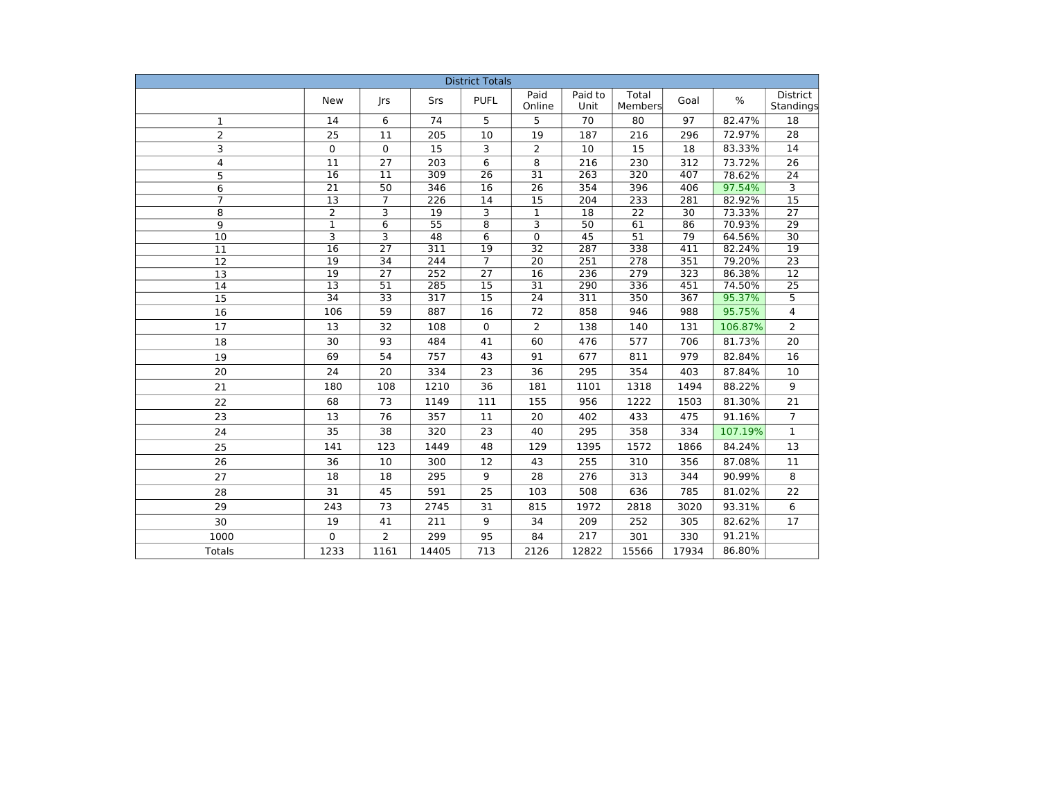| <b>District Totals</b> |                         |                                    |                         |                                    |                                    |                  |                  |            |         |                       |  |  |
|------------------------|-------------------------|------------------------------------|-------------------------|------------------------------------|------------------------------------|------------------|------------------|------------|---------|-----------------------|--|--|
|                        | <b>New</b>              | rs                                 | Srs                     | <b>PUFL</b>                        | Paid<br>Online                     | Paid to<br>Unit  | Total<br>Members | Goal       | $\%$    | District<br>Standings |  |  |
| $\mathbf{1}$           | 14                      | 6                                  | 74                      | 5                                  | 5                                  | 70               | 80               | 97         | 82.47%  | 18                    |  |  |
| $\overline{2}$         | 25                      | 11                                 | 205                     | 10                                 | 19                                 | 187              | 216              | 296        | 72.97%  | 28                    |  |  |
| 3                      | $\mathbf 0$             | $\mathbf 0$                        | 15                      | 3                                  | 2                                  | 10               | 15               | 18         | 83.33%  | 14                    |  |  |
| 4                      | 11                      | 27                                 | 203                     | 6                                  | 8                                  | 216              | 230              | 312        | 73.72%  | 26                    |  |  |
| 5                      | 16                      | $\overline{11}$                    | 309                     | 26                                 | $\overline{31}$                    | 263              | 320              | 407        | 78.62%  | 24                    |  |  |
| 6                      | $\overline{21}$         | 50                                 | 346                     | $\overline{16}$                    | 26                                 | 354              | 396              | 406        | 97.54%  | $\overline{3}$        |  |  |
| $\overline{7}$         | $\overline{13}$         | $\overline{7}$                     | $\overline{226}$        | $\overline{14}$                    | $\overline{15}$                    | $\overline{204}$ | 233              | 281        | 82.92%  | 15                    |  |  |
| 8                      | $\overline{2}$          | $\overline{\mathbf{3}}$            | $\overline{19}$         | 3                                  | $\overline{1}$                     | $\overline{18}$  | $\overline{22}$  | 30         | 73.33%  | $\overline{27}$       |  |  |
| 9                      | $\mathbf{1}$            | $\overline{6}$                     | $\overline{55}$         | $\overline{8}$                     | $\overline{\mathbf{3}}$            | $\overline{50}$  | 61               | 86         | 70.93%  | $\overline{29}$       |  |  |
| 10                     | $\overline{\mathbf{3}}$ | $\overline{\mathbf{3}}$            | 48                      | 6                                  | 0                                  | 45               | $\overline{51}$  | 79         | 64.56%  | $\overline{30}$       |  |  |
| 11                     | 16                      | $\overline{27}$                    | 311                     | 19                                 | $\overline{32}$                    | 287              | 338              | 411        | 82.24%  | $\overline{19}$       |  |  |
| 12                     | 19                      | 34                                 | 244                     | $\overline{7}$                     | $\overline{20}$                    | 251              | 278              | 351        | 79.20%  | $\overline{23}$       |  |  |
| 13                     | $\overline{19}$         | $\overline{27}$                    | 252                     | $\overline{27}$                    | 16                                 | 236              | 279              | 323        | 86.38%  | $\overline{12}$       |  |  |
| $\overline{14}$        | $\overline{13}$<br>34   | $\overline{51}$<br>$\overline{33}$ | 285<br>$\overline{317}$ | $\overline{15}$<br>$\overline{15}$ | $\overline{31}$<br>$\overline{24}$ | 290              | 336<br>350       | 451<br>367 | 74.50%  | $\overline{25}$       |  |  |
| $\overline{15}$        |                         |                                    |                         |                                    |                                    | 311              |                  |            | 95.37%  | $\overline{5}$        |  |  |
| 16                     | 106                     | 59                                 | 887                     | 16                                 | 72                                 | 858              | 946              | 988        | 95.75%  | 4                     |  |  |
| 17                     | 13                      | 32                                 | 108                     | $\mathbf 0$                        | $\overline{2}$                     | 138              | 140              | 131        | 106.87% | $\overline{2}$        |  |  |
| 18                     | 30                      | 93                                 | 484                     | 41                                 | 60                                 | 476              | 577              | 706        | 81.73%  | 20                    |  |  |
| 19                     | 69                      | 54                                 | 757                     | 43                                 | 91                                 | 677              | 811              | 979        | 82.84%  | 16                    |  |  |
| 20                     | 24                      | 20                                 | 334                     | 23                                 | 36                                 | 295              | 354              | 403        | 87.84%  | 10                    |  |  |
| 21                     | 180                     | 108                                | 1210                    | 36                                 | 181                                | 1101             | 1318             | 1494       | 88.22%  | 9                     |  |  |
| 22                     | 68                      | 73                                 | 1149                    | 111                                | 155                                | 956              | 1222             | 1503       | 81.30%  | 21                    |  |  |
| 23                     | 13                      | 76                                 | 357                     | 11                                 | 20                                 | 402              | 433              | 475        | 91.16%  | $\overline{7}$        |  |  |
| 24                     | 35                      | 38                                 | 320                     | 23                                 | 40                                 | 295              | 358              | 334        | 107.19% | $\mathbf{1}$          |  |  |
| 25                     | 141                     | 123                                | 1449                    | 48                                 | 129                                | 1395             | 1572             | 1866       | 84.24%  | 13                    |  |  |
| 26                     | 36                      | 10                                 | 300                     | 12                                 | 43                                 | 255              | 310              | 356        | 87.08%  | 11                    |  |  |
| 27                     | 18                      | 18                                 | 295                     | 9                                  | 28                                 | 276              | 313              | 344        | 90.99%  | 8                     |  |  |
| 28                     | 31                      | 45                                 | 591                     | 25                                 | 103                                | 508              | 636              | 785        | 81.02%  | 22                    |  |  |
| 29                     | 243                     | 73                                 | 2745                    | 31                                 | 815                                | 1972             | 2818             | 3020       | 93.31%  | 6                     |  |  |
| 30                     | 19                      | 41                                 | 211                     | 9                                  | 34                                 | 209              | 252              | 305        | 82.62%  | 17                    |  |  |
| 1000                   | $\Omega$                | $\overline{2}$                     | 299                     | 95                                 | 84                                 | 217              | 301              | 330        | 91.21%  |                       |  |  |
| <b>Totals</b>          | 1233                    | 1161                               | 14405                   | 713                                | 2126                               | 12822            | 15566            | 17934      | 86.80%  |                       |  |  |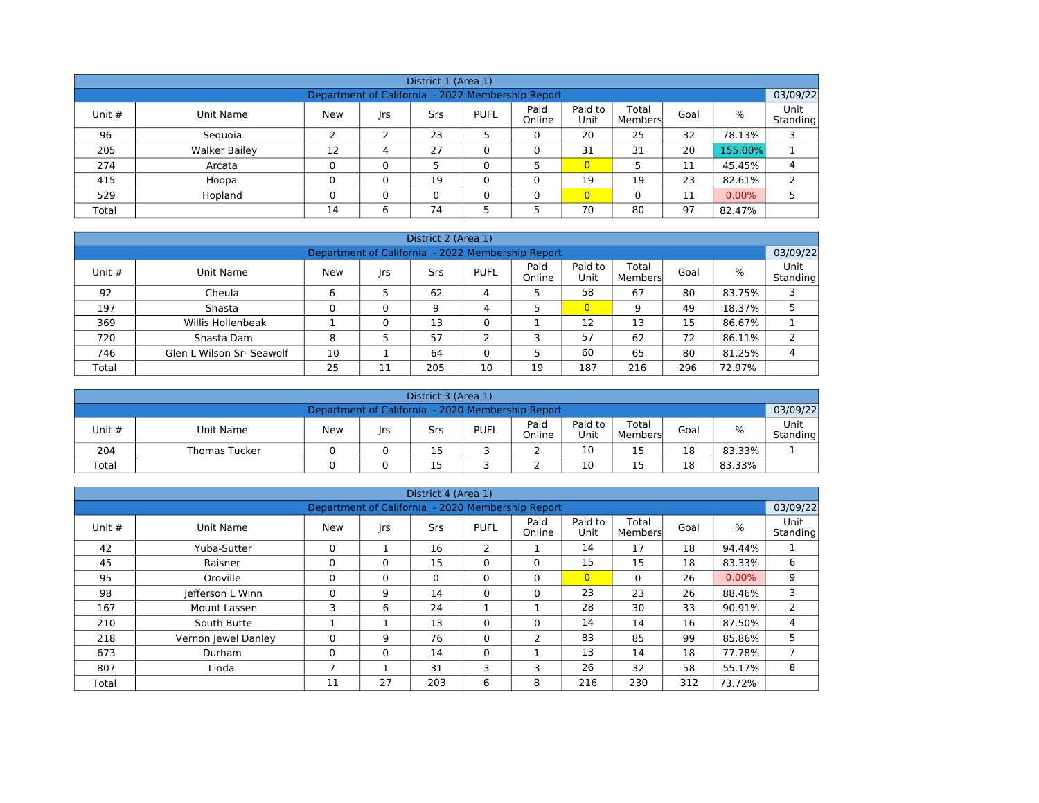| District 1 (Area 1)                                           |                      |               |          |     |             |                |                 |                  |      |          |                  |  |  |  |
|---------------------------------------------------------------|----------------------|---------------|----------|-----|-------------|----------------|-----------------|------------------|------|----------|------------------|--|--|--|
| 03/09/22<br>Department of California - 2022 Membership Report |                      |               |          |     |             |                |                 |                  |      |          |                  |  |  |  |
| Unit $#$                                                      | Unit Name            | <b>New</b>    | rs       | Srs | <b>PUFL</b> | Paid<br>Online | Paid to<br>Unit | Total<br>Members | Goal | $\%$     | Unit<br>Standing |  |  |  |
| 96                                                            | Seguoia              | $\mathcal{L}$ | ว        | 23  |             | 0              | 20              | 25               | 32   | 78.13%   | 3                |  |  |  |
| 205                                                           | <b>Walker Bailey</b> | 12            | 4        | 27  |             | 0              | 31              | 31               | 20   | 155.00%  |                  |  |  |  |
| 274                                                           | Arcata               |               | $\Omega$ |     |             |                | $\overline{0}$  | 5                | 11   | 45.45%   | 4                |  |  |  |
| 415                                                           | Hoopa                | $\sim$        | $\Omega$ | 19  |             |                | 19              | 19               | 23   | 82.61%   | C.               |  |  |  |
| 529                                                           | Hopland              | $\Omega$      | $\Omega$ | 0   |             | 0              | $\overline{0}$  | $\Omega$         | 11   | $0.00\%$ |                  |  |  |  |
| Total                                                         |                      | 14            | 6        | 74  |             |                | 70              | 80               | 97   | 82.47%   |                  |  |  |  |

| District 2 (Area 1)                                           |                           |            |    |     |             |                |                 |                  |      |        |                  |  |  |  |
|---------------------------------------------------------------|---------------------------|------------|----|-----|-------------|----------------|-----------------|------------------|------|--------|------------------|--|--|--|
| 03/09/22<br>Department of California - 2022 Membership Report |                           |            |    |     |             |                |                 |                  |      |        |                  |  |  |  |
| Unit $#$                                                      | Unit Name                 | <b>New</b> | rs | Srs | <b>PUFL</b> | Paid<br>Online | Paid to<br>Unit | Total<br>Members | Goal | $\%$   | Unit<br>Standing |  |  |  |
| 92                                                            | Cheula                    | 6          |    | 62  | 4           | 5              | 58              | 67               | 80   | 83.75% | 3                |  |  |  |
| 197                                                           | Shasta                    |            | 0  | 9   | 4           | 5              | $\overline{0}$  | 9                | 49   | 18.37% | 5                |  |  |  |
| 369                                                           | Willis Hollenbeak         |            |    | 13  |             |                | 12              | 13               | 15   | 86.67% |                  |  |  |  |
| 720                                                           | Shasta Dam                | 8          |    | 57  |             | 3              | 57              | 62               | 72   | 86.11% | 2                |  |  |  |
| 746                                                           | Glen L Wilson Sr- Seawolf | 10         |    | 64  |             |                | 60              | 65               | 80   | 81.25% | 4                |  |  |  |
| Total                                                         |                           | 25         | 11 | 205 | 10          | 19             | 187             | 216              | 296  | 72.97% |                  |  |  |  |

| District 3 (Area 1)                                           |                      |            |     |     |             |                |                 |                  |      |        |                  |  |  |
|---------------------------------------------------------------|----------------------|------------|-----|-----|-------------|----------------|-----------------|------------------|------|--------|------------------|--|--|
| 03/09/22<br>Department of California - 2020 Membership Report |                      |            |     |     |             |                |                 |                  |      |        |                  |  |  |
| Unit #                                                        | Unit Name            | <b>New</b> | Irs | Srs | <b>PUFL</b> | Paid<br>Online | Paid to<br>Unit | Total<br>Members | Goal | %      | Unit<br>Standing |  |  |
| 204                                                           | <b>Thomas Tucker</b> |            |     | 15  |             |                | 10              | 15               | 18   | 83.33% |                  |  |  |
| 15<br>15<br>18<br>10<br>83.33%<br>Total                       |                      |            |     |     |             |                |                 |                  |      |        |                  |  |  |

| District 4 (Area 1) |                     |                                                   |              |          |             |                |                 |                  |      |          |                         |  |  |
|---------------------|---------------------|---------------------------------------------------|--------------|----------|-------------|----------------|-----------------|------------------|------|----------|-------------------------|--|--|
|                     |                     | Department of California - 2020 Membership Report |              |          |             |                |                 |                  |      |          | 03/09/22                |  |  |
| Unit $#$            | Unit Name           | New                                               | Jrs          | Srs      | <b>PUFL</b> | Paid<br>Online | Paid to<br>Unit | Total<br>Members | Goal | %        | <b>Unit</b><br>Standing |  |  |
| 42                  | Yuba-Sutter         | $\Omega$                                          |              | 16       | 2           |                | 14              | 17               | 18   | 94.44%   |                         |  |  |
| 45                  | Raisner             | $\Omega$                                          | $\Omega$     | 15       | $\Omega$    | $\Omega$       | 15              | 15               | 18   | 83.33%   | 6                       |  |  |
| 95                  | Oroville            | 0                                                 | $\Omega$     | $\Omega$ | $\Omega$    | $\Omega$       | $\overline{0}$  | $\mathbf{0}$     | 26   | $0.00\%$ | 9                       |  |  |
| 98                  | Jefferson L Winn    | 0                                                 | 9            | 14       | 0           | $\mathbf 0$    | 23              | 23               | 26   | 88.46%   | 3                       |  |  |
| 167                 | Mount Lassen        | 3                                                 | 6            | 24       | ш.          |                | 28              | 30               | 33   | 90.91%   | $\overline{2}$          |  |  |
| 210                 | South Butte         |                                                   | 1            | 13       | 0           | $\Omega$       | 14              | 14               | 16   | 87.50%   | 4                       |  |  |
| 218                 | Vernon lewel Danley | 0                                                 | 9            | 76       | 0           | $\overline{2}$ | 83              | 85               | 99   | 85.86%   | 5                       |  |  |
| 673                 | Durham              | 0                                                 | $\mathbf{0}$ | 14       | $\mathbf 0$ |                | 13              | 14               | 18   | 77.78%   | $\overline{7}$          |  |  |
| 807                 | Linda               |                                                   |              | 31       | 3           | 3              | 26              | 32               | 58   | 55.17%   | 8                       |  |  |
| Total               |                     | 11                                                | 27           | 203      | 6           | 8              | 216             | 230              | 312  | 73.72%   |                         |  |  |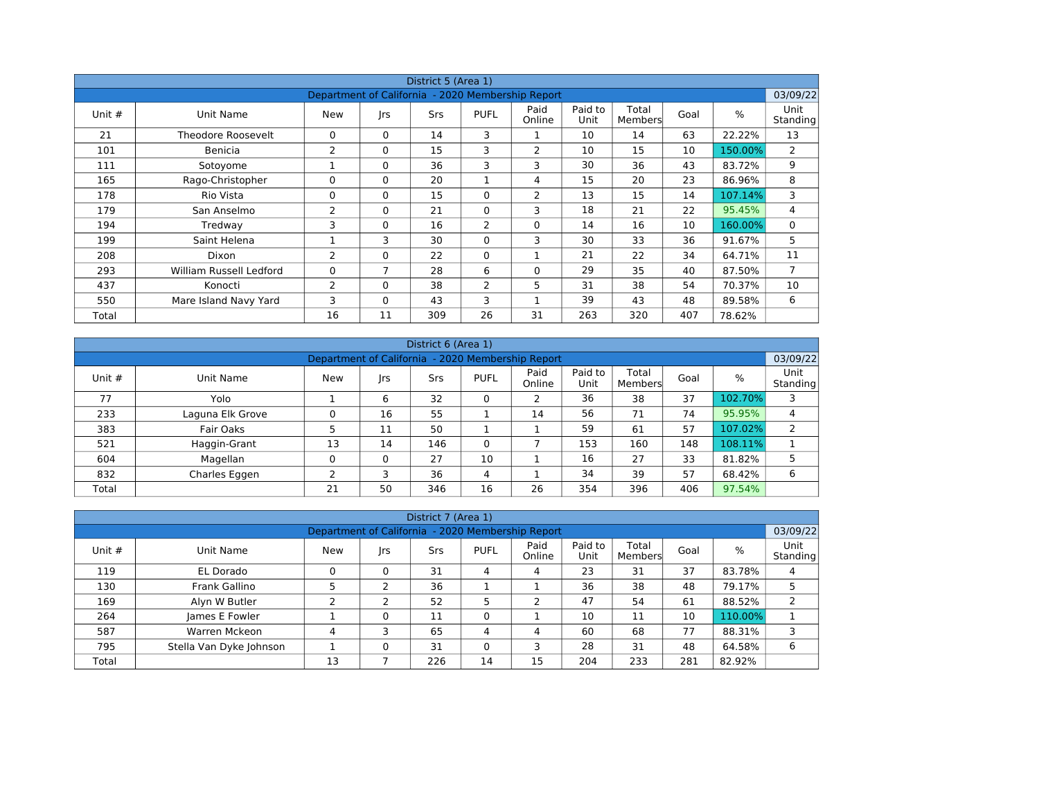| District 5 (Area 1) |                                                               |             |             |            |             |                |                 |                  |      |         |                  |  |  |  |  |
|---------------------|---------------------------------------------------------------|-------------|-------------|------------|-------------|----------------|-----------------|------------------|------|---------|------------------|--|--|--|--|
|                     | 03/09/22<br>Department of California - 2020 Membership Report |             |             |            |             |                |                 |                  |      |         |                  |  |  |  |  |
| Unit $#$            | Unit Name                                                     | <b>New</b>  | rs          | <b>Srs</b> | <b>PUFL</b> | Paid<br>Online | Paid to<br>Unit | Total<br>Members | Goal | %       | Unit<br>Standing |  |  |  |  |
| 21                  | Theodore Roosevelt                                            | $\Omega$    | $\Omega$    | 14         | 3           |                | 10              | 14               | 63   | 22.22%  | 13               |  |  |  |  |
| 101                 | Benicia                                                       | 2           | 0           | 15         | 3           | 2              | 10              | 15               | 10   | 150.00% | $\overline{2}$   |  |  |  |  |
| 111                 | Sotoyome                                                      |             | $\Omega$    | 36         | 3           | 3              | 30              | 36               | 43   | 83.72%  | 9                |  |  |  |  |
| 165                 | Rago-Christopher                                              | $\Omega$    | $\Omega$    | 20         |             | 4              | 15              | 20               | 23   | 86.96%  | 8                |  |  |  |  |
| 178                 | Rio Vista                                                     | $\mathbf 0$ | $\Omega$    | 15         | $\Omega$    | 2              | 13              | 15               | 14   | 107.14% | 3                |  |  |  |  |
| 179                 | San Anselmo                                                   | 2           | $\Omega$    | 21         | $\Omega$    | 3              | 18              | 21               | 22   | 95.45%  | 4                |  |  |  |  |
| 194                 | Tredway                                                       | 3           | $\mathbf 0$ | 16         | 2           | $\mathbf 0$    | 14              | 16               | 10   | 160.00% | 0                |  |  |  |  |
| 199                 | Saint Helena                                                  |             | 3           | 30         | $\Omega$    | 3              | 30              | 33               | 36   | 91.67%  | 5                |  |  |  |  |
| 208                 | Dixon                                                         | 2           | $\Omega$    | 22         | $\Omega$    |                | 21              | 22               | 34   | 64.71%  | 11               |  |  |  |  |
| 293                 | William Russell Ledford                                       | 0           | 7           | 28         | 6           | $\Omega$       | 29              | 35               | 40   | 87.50%  | $\overline{7}$   |  |  |  |  |
| 437                 | Konocti                                                       | 2           | $\Omega$    | 38         | 2           | 5              | 31              | 38               | 54   | 70.37%  | 10               |  |  |  |  |
| 550                 | Mare Island Navy Yard                                         | 3           | $\Omega$    | 43         | 3           | Ŧ.             | 39              | 43               | 48   | 89.58%  | 6                |  |  |  |  |
| Total               |                                                               | 16          | 11          | 309        | 26          | 31             | 263             | 320              | 407  | 78.62%  |                  |  |  |  |  |

| District 6 (Area 1) |                                                               |     |          |     |             |                |                 |                  |      |         |                         |  |  |  |  |
|---------------------|---------------------------------------------------------------|-----|----------|-----|-------------|----------------|-----------------|------------------|------|---------|-------------------------|--|--|--|--|
|                     | 03/09/22<br>Department of California - 2020 Membership Report |     |          |     |             |                |                 |                  |      |         |                         |  |  |  |  |
| Unit $#$            | Unit Name                                                     | New | rs       | Srs | <b>PUFL</b> | Paid<br>Online | Paid to<br>Unit | Total<br>Members | Goal | %       | <b>Unit</b><br>Standing |  |  |  |  |
| 77                  | Yolo                                                          |     | 6        | 32  | 0           | $\overline{2}$ | 36              | 38               | 37   | 102.70% | 3                       |  |  |  |  |
| 233                 | Laguna Elk Grove                                              | 0   | 16       | 55  |             | 14             | 56              | 71               | 74   | 95.95%  | 4                       |  |  |  |  |
| 383                 | Fair Oaks                                                     |     | 11       | 50  |             |                | 59              | 61               | 57   | 107.02% | 2                       |  |  |  |  |
| 521                 | Haggin-Grant                                                  | 13  | 14       | 146 | $\Omega$    |                | 153             | 160              | 148  | 108.11% |                         |  |  |  |  |
| 604                 | Magellan                                                      | 0   | $\Omega$ | 27  | 10          |                | 16              | 27               | 33   | 81.82%  |                         |  |  |  |  |
| 832                 | Charles Eggen                                                 | ∍   | 3        | 36  | 4           |                | 34              | 39               | 57   | 68.42%  | 6                       |  |  |  |  |
| Total               |                                                               | 21  | 50       | 346 | 16          | 26             | 354             | 396              | 406  | 97.54%  |                         |  |  |  |  |

|          |                                                                                                                                    |    |   | District 7 (Area 1) |    |    |     |     |     |         |   |  |  |  |  |
|----------|------------------------------------------------------------------------------------------------------------------------------------|----|---|---------------------|----|----|-----|-----|-----|---------|---|--|--|--|--|
|          | 03/09/22<br>Department of California - 2020 Membership Report                                                                      |    |   |                     |    |    |     |     |     |         |   |  |  |  |  |
| Unit $#$ | Paid<br>Paid to<br>Total<br>$\%$<br>Goal<br>New<br><b>PUFL</b><br>Srs<br>Unit Name<br> rs<br>Online<br>Unit<br>Standing<br>Members |    |   |                     |    |    |     |     |     |         |   |  |  |  |  |
| 119      | EL Dorado                                                                                                                          | 0  | 0 | 31                  | 4  | 4  | 23  | 31  | 37  | 83.78%  | 4 |  |  |  |  |
| 130      | Frank Gallino                                                                                                                      |    |   | 36                  |    |    | 36  | 38  | 48  | 79.17%  |   |  |  |  |  |
| 169      | Alyn W Butler                                                                                                                      |    |   | 52                  | 5  |    | 47  | 54  | 61  | 88.52%  | 2 |  |  |  |  |
| 264      | James E Fowler                                                                                                                     |    |   | 11                  | 0  |    | 10  | 11  | 10  | 110.00% |   |  |  |  |  |
| 587      | Warren Mckeon                                                                                                                      | 4  |   | 65                  | 4  | 4  | 60  | 68  | 77  | 88.31%  |   |  |  |  |  |
| 795      | Stella Van Dyke Johnson                                                                                                            |    |   | 31                  | 0  | 3  | 28  | 31  | 48  | 64.58%  | 6 |  |  |  |  |
| Total    |                                                                                                                                    | 13 |   | 226                 | 14 | 15 | 204 | 233 | 281 | 82.92%  |   |  |  |  |  |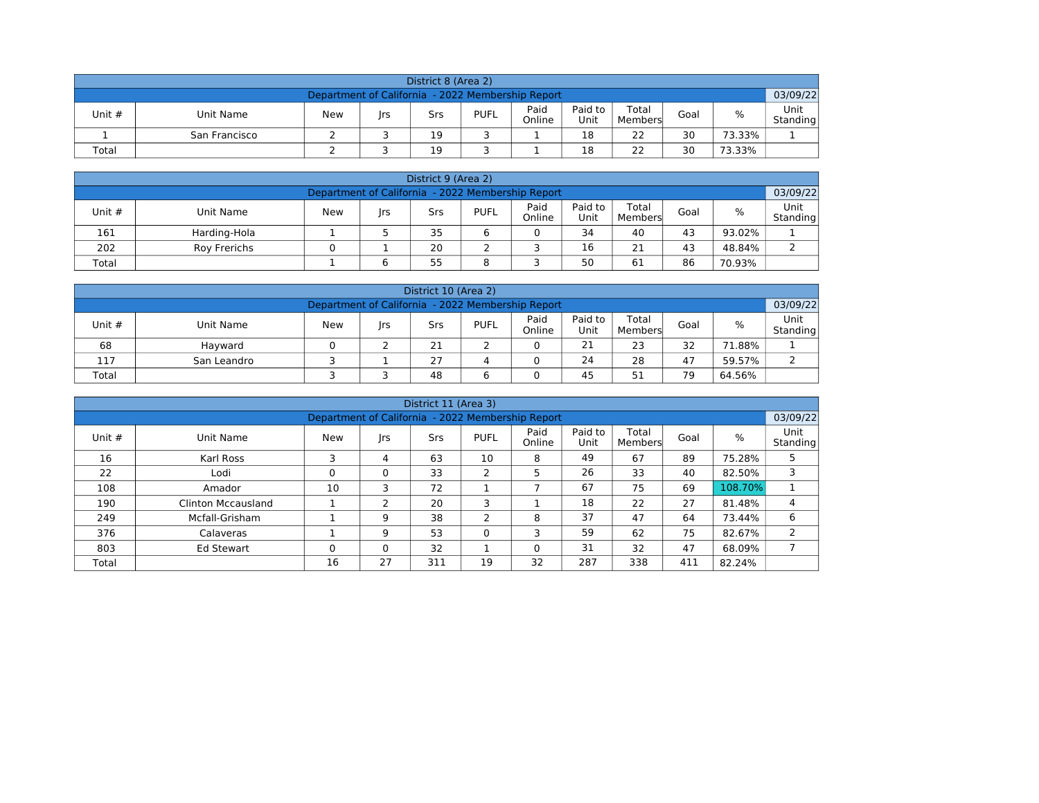| District 8 (Area 2)                                                                                                                       |                                                               |  |  |    |  |  |    |    |    |        |  |  |  |  |  |
|-------------------------------------------------------------------------------------------------------------------------------------------|---------------------------------------------------------------|--|--|----|--|--|----|----|----|--------|--|--|--|--|--|
|                                                                                                                                           | 03/09/22<br>Department of California - 2022 Membership Report |  |  |    |  |  |    |    |    |        |  |  |  |  |  |
| Paid<br>Paid to<br>Total<br>%<br><b>PUFL</b><br>Unit #<br>Goal<br>Unit Name<br>New<br>Srs<br>Irs<br>Online<br>Unit<br>Standing<br>Members |                                                               |  |  |    |  |  |    |    |    |        |  |  |  |  |  |
|                                                                                                                                           | San Francisco                                                 |  |  | 19 |  |  | 18 | 22 | 30 | 73.33% |  |  |  |  |  |
| 22<br>30<br>19<br>18<br>73.33%<br>Total                                                                                                   |                                                               |  |  |    |  |  |    |    |    |        |  |  |  |  |  |

| District 9 (Area 2)                                                                                                                  |              |  |  |    |  |  |    |    |    |        |  |  |  |  |
|--------------------------------------------------------------------------------------------------------------------------------------|--------------|--|--|----|--|--|----|----|----|--------|--|--|--|--|
| 03/09/22<br>Department of California - 2022 Membership Report                                                                        |              |  |  |    |  |  |    |    |    |        |  |  |  |  |
| Paid<br>Paid to<br>Total<br>%<br>Unit #<br><b>New</b><br><b>PUFL</b><br>Goal<br>Unit Name<br>Srs<br> rs<br>Online<br>Unit<br>Members |              |  |  |    |  |  |    |    |    |        |  |  |  |  |
| 161                                                                                                                                  | Harding-Hola |  |  | 35 |  |  | 34 | 40 | 43 | 93.02% |  |  |  |  |
| 202                                                                                                                                  | Roy Frerichs |  |  | 20 |  |  | 16 | 21 | 43 | 48.84% |  |  |  |  |
| 55<br>50<br>61<br>86<br>8<br>70.93%<br>Total<br>6                                                                                    |              |  |  |    |  |  |    |    |    |        |  |  |  |  |

| District 10 (Area 2)                                                                                                                        |             |  |  |    |  |  |    |    |    |        |  |  |  |  |
|---------------------------------------------------------------------------------------------------------------------------------------------|-------------|--|--|----|--|--|----|----|----|--------|--|--|--|--|
| 03/09/22<br>Department of California - 2022 Membership Report                                                                               |             |  |  |    |  |  |    |    |    |        |  |  |  |  |
| Paid<br>Paid to<br>Total<br>%<br><b>PUFL</b><br>Unit $#$<br>New<br>Goal<br>Unit Name<br>Srs<br>Irs<br>Online<br>Unit<br>Standing<br>Members |             |  |  |    |  |  |    |    |    |        |  |  |  |  |
| 68                                                                                                                                          | Hayward     |  |  | 21 |  |  | 21 | 23 | 32 | 71.88% |  |  |  |  |
| 117                                                                                                                                         | San Leandro |  |  | 27 |  |  | 24 | 28 | 47 | 59.57% |  |  |  |  |
| 79<br>48<br>51<br>45<br>64.56%<br>Total                                                                                                     |             |  |  |    |  |  |    |    |    |        |  |  |  |  |

|          |                           |                                                   |          | District 11 (Area 3) |                |                |                 |                  |      |         |                  |
|----------|---------------------------|---------------------------------------------------|----------|----------------------|----------------|----------------|-----------------|------------------|------|---------|------------------|
|          |                           | Department of California - 2022 Membership Report |          |                      |                |                |                 |                  |      |         | 03/09/22         |
| Unit $#$ | Unit Name                 | <b>New</b>                                        | rs       | Srs                  | <b>PUFL</b>    | Paid<br>Online | Paid to<br>Unit | Total<br>Members | Goal | %       | Unit<br>Standing |
| 16       | Karl Ross                 | 3                                                 | 4        | 63                   | 10             | 8              | 49              | 67               | 89   | 75.28%  | 5                |
| 22       | Lodi                      | 0                                                 | $\Omega$ | 33                   | 2              | 5              | 26              | 33               | 40   | 82.50%  | 3                |
| 108      | Amador                    | 10                                                | 3        | 72                   | ∸              |                | 67              | 75               | 69   | 108.70% |                  |
| 190      | <b>Clinton Mccausland</b> |                                                   | ∍        | 20                   | 3              |                | 18              | 22               | 27   | 81.48%  | 4                |
| 249      | Mcfall-Grisham            |                                                   | 9        | 38                   | $\overline{2}$ | 8              | 37              | 47               | 64   | 73.44%  | 6                |
| 376      | Calaveras                 |                                                   | 9        | 53                   | $\Omega$       | 3              | 59              | 62               | 75   | 82.67%  | $\overline{2}$   |
| 803      | <b>Ed Stewart</b>         | 0                                                 | $\Omega$ | 32                   |                | $\Omega$       | 31              | 32               | 47   | 68.09%  |                  |
| Total    |                           | 16                                                | 27       | 311                  | 19             | 32             | 287             | 338              | 411  | 82.24%  |                  |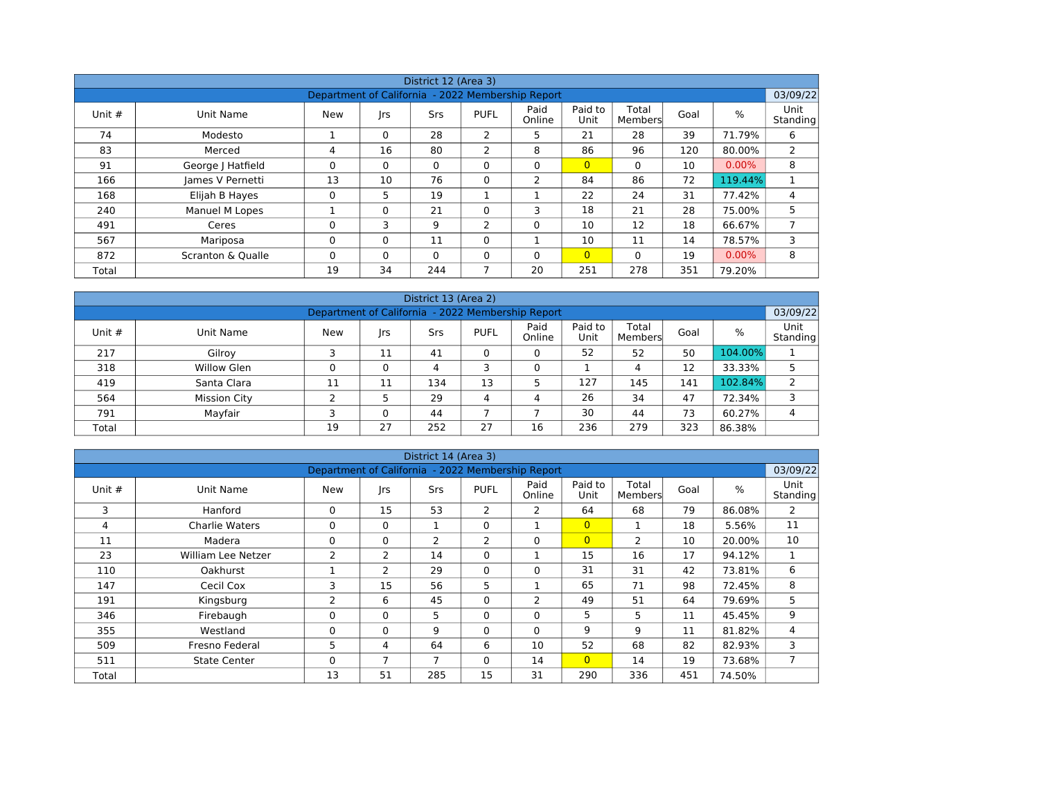|        |                   |                                                   |          | District 12 (Area 3) |                |                |                 |                  |      |          |                       |
|--------|-------------------|---------------------------------------------------|----------|----------------------|----------------|----------------|-----------------|------------------|------|----------|-----------------------|
|        |                   | Department of California - 2022 Membership Report |          |                      |                |                |                 |                  |      |          | 03/09/22              |
| Unit # | Unit Name         | New                                               | rs       | Srs                  | <b>PUFL</b>    | Paid<br>Online | Paid to<br>Unit | Total<br>Members | Goal | $\%$     | Unit<br>Standing      |
| 74     | Modesto           |                                                   | $\Omega$ | 28                   | 2              | 5              | 21              | 28               | 39   | 71.79%   | 6                     |
| 83     | Merced            | 4                                                 | 16       | 80                   | 2              | 8              | 86              | 96               | 120  | 80.00%   | $\mathbf{2}^{\prime}$ |
| 91     | George J Hatfield | 0                                                 | $\Omega$ | $\Omega$             | $\Omega$       | $\Omega$       | $\overline{0}$  | $\Omega$         | 10   | $0.00\%$ | 8                     |
| 166    | James V Pernetti  | 13                                                | 10       | 76                   | $\Omega$       | $\overline{2}$ | 84              | 86               | 72   | 119.44%  |                       |
| 168    | Elijah B Hayes    | 0                                                 | 5        | 19                   |                |                | 22              | 24               | 31   | 77.42%   | 4                     |
| 240    | Manuel M Lopes    |                                                   | $\Omega$ | 21                   | $\Omega$       | 3              | 18              | 21               | 28   | 75.00%   | 5                     |
| 491    | Ceres             | 0                                                 | 3        | 9                    | $\overline{2}$ | $\Omega$       | 10              | 12               | 18   | 66.67%   | $\overline{ }$        |
| 567    | Mariposa          | 0                                                 | $\Omega$ | 11                   | $\Omega$       |                | 10              | 11               | 14   | 78.57%   | 3                     |
| 872    | Scranton & Qualle | 0                                                 | $\Omega$ | $\Omega$             | $\Omega$       | $\Omega$       | $\overline{0}$  | $\Omega$         | 19   | $0.00\%$ | 8                     |
| Total  |                   | 19                                                | 34       | 244                  | ∍              | 20             | 251             | 278              | 351  | 79.20%   |                       |

|          |                                                                                                                                                  |    |    | District 13 (Area 2) |    |    |     |     |     |         |   |  |  |  |  |
|----------|--------------------------------------------------------------------------------------------------------------------------------------------------|----|----|----------------------|----|----|-----|-----|-----|---------|---|--|--|--|--|
|          | Department of California - 2022 Membership Report<br>03/09/22                                                                                    |    |    |                      |    |    |     |     |     |         |   |  |  |  |  |
| Unit $#$ | Paid<br>Paid to<br>Total<br>$\%$<br><b>PUFL</b><br>Goal<br>Unit Name<br><b>New</b><br><b>Srs</b><br> rs<br>Unit<br>Online<br>Standing<br>Members |    |    |                      |    |    |     |     |     |         |   |  |  |  |  |
| 217      | Gilroy                                                                                                                                           |    | 11 | 41                   | 0  | 0  | 52  | 52  | 50  | 104.00% |   |  |  |  |  |
| 318      | Willow Glen                                                                                                                                      | 0  | 0  | 4                    | 3  | 0  |     | 4   | 12  | 33.33%  |   |  |  |  |  |
| 419      | Santa Clara                                                                                                                                      | 11 | 11 | 134                  | 13 |    | 127 | 145 | 141 | 102.84% | 2 |  |  |  |  |
| 564      | <b>Mission City</b>                                                                                                                              | ∍  | 5  | 29                   | 4  | 4  | 26  | 34  | 47  | 72.34%  | 3 |  |  |  |  |
| 791      | Mayfair                                                                                                                                          |    |    | 44                   |    |    | 30  | 44  | 73  | 60.27%  | 4 |  |  |  |  |
| Total    |                                                                                                                                                  | 19 | 27 | 252                  | 27 | 16 | 236 | 279 | 323 | 86.38%  |   |  |  |  |  |

|          |                       |                                                   |                | District 14 (Area 3) |             |                |                 |                  |      |        |                       |
|----------|-----------------------|---------------------------------------------------|----------------|----------------------|-------------|----------------|-----------------|------------------|------|--------|-----------------------|
|          |                       | Department of California - 2022 Membership Report |                |                      |             |                |                 |                  |      |        | 03/09/22              |
| Unit $#$ | Unit Name             | <b>New</b>                                        | rs             | <b>Srs</b>           | <b>PUFL</b> | Paid<br>Online | Paid to<br>Unit | Total<br>Members | Goal | %      | Unit<br>Standing      |
| 3        | Hanford               | 0                                                 | 15             | 53                   | 2           | 2              | 64              | 68               | 79   | 86.08% | $\mathbf{2}^{\prime}$ |
| 4        | <b>Charlie Waters</b> | 0                                                 | $\Omega$       | 1                    | $\Omega$    | $\mathbf{1}$   | $\overline{0}$  | 1                | 18   | 5.56%  | 11                    |
| 11       | Madera                | $\Omega$                                          | $\Omega$       | $\overline{2}$       | 2           | $\Omega$       | $\overline{0}$  | 2                | 10   | 20.00% | 10                    |
| 23       | William Lee Netzer    | $\overline{2}$                                    | 2              | 14                   | $\Omega$    |                | 15              | 16               | 17   | 94.12% | 1                     |
| 110      | <b>Oakhurst</b>       |                                                   | 2              | 29                   | $\Omega$    | $\Omega$       | 31              | 31               | 42   | 73.81% | 6                     |
| 147      | Cecil Cox             | 3                                                 | 15             | 56                   | 5           |                | 65              | 71               | 98   | 72.45% | 8                     |
| 191      | Kingsburg             | $\overline{2}$                                    | 6              | 45                   | $\mathbf 0$ | 2              | 49              | 51               | 64   | 79.69% | 5                     |
| 346      | Firebaugh             | 0                                                 | 0              | 5                    | $\mathbf 0$ | $\mathbf 0$    | 5               | 5                | 11   | 45.45% | 9                     |
| 355      | Westland              | $\Omega$                                          | $\mathbf{0}$   | 9                    | $\Omega$    | $\Omega$       | 9               | 9                | 11   | 81.82% | 4                     |
| 509      | Fresno Federal        | 5                                                 | 4              | 64                   | 6           | 10             | 52              | 68               | 82   | 82.93% | 3                     |
| 511      | <b>State Center</b>   | 0                                                 | $\overline{7}$ | $\overline{7}$       | $\mathbf 0$ | 14             | $\overline{0}$  | 14               | 19   | 73.68% | $\overline{7}$        |
| Total    |                       | 13                                                | 51             | 285                  | 15          | 31             | 290             | 336              | 451  | 74.50% |                       |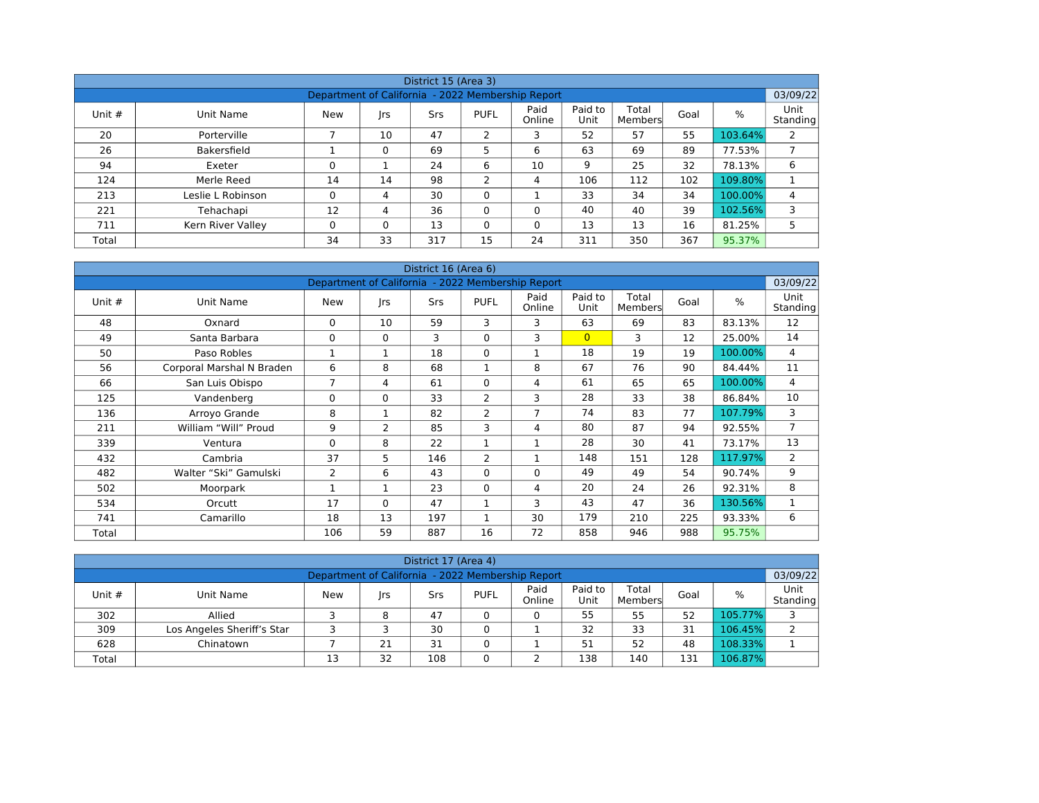|          |                   |                                                   |          | District 15 (Area 3) |                |                |                 |                  |      |               |                  |
|----------|-------------------|---------------------------------------------------|----------|----------------------|----------------|----------------|-----------------|------------------|------|---------------|------------------|
|          |                   | Department of California - 2022 Membership Report |          |                      |                |                |                 |                  |      |               | 03/09/22         |
| Unit $#$ | Unit Name         | New                                               | rs       | Srs                  | <b>PUFL</b>    | Paid<br>Online | Paid to<br>Unit | Total<br>Members | Goal | $\frac{0}{0}$ | Unit<br>Standing |
| 20       | Porterville       |                                                   | 10       | 47                   | $\overline{2}$ | 3              | 52              | 57               | 55   | 103.64%       | 2                |
| 26       | Bakersfield       |                                                   | 0        | 69                   | 5              | 6              | 63              | 69               | 89   | 77.53%        |                  |
| 94       | Exeter            | 0                                                 |          | 24                   | 6              | 10             | 9               | 25               | 32   | 78.13%        | 6                |
| 124      | Merle Reed        | 14                                                | 14       | 98                   | $\mathcal{P}$  | 4              | 106             | 112              | 102  | 109.80%       |                  |
| 213      | Leslie L Robinson | 0                                                 | 4        | 30                   | $\Omega$       |                | 33              | 34               | 34   | 100.00%       | 4                |
| 221      | Tehachapi         | 12                                                | 4        | 36                   | $\Omega$       | $\Omega$       | 40              | 40               | 39   | 102.56%       | 3                |
| 711      | Kern River Valley | 0                                                 | $\Omega$ | 13                   | $\Omega$       | $\Omega$       | 13              | 13               | 16   | 81.25%        | 5                |
| Total    |                   | 34                                                | 33       | 317                  | 15             | 24             | 311             | 350              | 367  | 95.37%        |                  |

|          | District 16 (Area 6)<br>Department of California - 2022 Membership Report |                       |              |     |                |                |                 |                  |      |         |                  |  |  |  |
|----------|---------------------------------------------------------------------------|-----------------------|--------------|-----|----------------|----------------|-----------------|------------------|------|---------|------------------|--|--|--|
|          |                                                                           |                       |              |     |                |                |                 |                  |      |         | 03/09/22         |  |  |  |
| Unit $#$ | Unit Name                                                                 | <b>New</b>            | rs           | Srs | <b>PUFL</b>    | Paid<br>Online | Paid to<br>Unit | Total<br>Members | Goal | $\%$    | Unit<br>Standing |  |  |  |
| 48       | Oxnard                                                                    | 0                     | 10           | 59  | 3              | 3              | 63              | 69               | 83   | 83.13%  | 12               |  |  |  |
| 49       | Santa Barbara                                                             | 0                     | $\mathbf{0}$ | 3   | $\Omega$       | 3              | $\overline{0}$  | 3                | 12   | 25.00%  | 14               |  |  |  |
| 50       | Paso Robles                                                               |                       | 1            | 18  | 0              | $\mathbf{1}$   | 18              | 19               | 19   | 100.00% | 4                |  |  |  |
| 56       | Corporal Marshal N Braden                                                 | 6                     | 8            | 68  | 1              | 8              | 67              | 76               | 90   | 84.44%  | 11               |  |  |  |
| 66       | San Luis Obispo                                                           | 7                     | 4            | 61  | $\Omega$       | 4              | 61              | 65               | 65   | 100.00% | 4                |  |  |  |
| 125      | Vandenberg                                                                | $\Omega$              | $\mathbf{0}$ | 33  | 2              | 3              | 28              | 33               | 38   | 86.84%  | 10               |  |  |  |
| 136      | Arroyo Grande                                                             | 8                     | 1            | 82  | 2              | 7              | 74              | 83               | 77   | 107.79% | 3                |  |  |  |
| 211      | William "Will" Proud                                                      | 9                     | 2            | 85  | 3              | 4              | 80              | 87               | 94   | 92.55%  | $\overline{7}$   |  |  |  |
| 339      | Ventura                                                                   | $\Omega$              | 8            | 22  | $\mathbf 1$    | 1              | 28              | 30               | 41   | 73.17%  | 13               |  |  |  |
| 432      | Cambria                                                                   | 37                    | 5            | 146 | $\overline{2}$ | 1              | 148             | 151              | 128  | 117.97% | $\overline{2}$   |  |  |  |
| 482      | Walter "Ski" Gamulski                                                     | $\mathbf{2}^{\prime}$ | 6            | 43  | $\Omega$       | $\mathbf{0}$   | 49              | 49               | 54   | 90.74%  | 9                |  |  |  |
| 502      | Moorpark                                                                  |                       | 1            | 23  | $\Omega$       | 4              | 20              | 24               | 26   | 92.31%  | 8                |  |  |  |
| 534      | Orcutt                                                                    | 17                    | $\Omega$     | 47  | $\mathbf{1}$   | 3              | 43              | 47               | 36   | 130.56% | 1                |  |  |  |
| 741      | Camarillo                                                                 | 18                    | 13           | 197 |                | 30             | 179             | 210              | 225  | 93.33%  | 6                |  |  |  |
| Total    |                                                                           | 106                   | 59           | 887 | 16             | 72             | 858             | 946              | 988  | 95.75%  |                  |  |  |  |

| District 17 (Area 4)     |                                                               |     |     |     |             |        |      |         |      |               |                  |  |  |  |  |
|--------------------------|---------------------------------------------------------------|-----|-----|-----|-------------|--------|------|---------|------|---------------|------------------|--|--|--|--|
|                          | 03/09/22<br>Department of California - 2022 Membership Report |     |     |     |             |        |      |         |      |               |                  |  |  |  |  |
| Paid<br>Paid to<br>Total |                                                               |     |     |     |             |        |      |         |      |               |                  |  |  |  |  |
| Unit $#$                 | Unit Name                                                     | New | Irs | Srs | <b>PUFL</b> | Online | Unit | Members | Goal | $\frac{0}{0}$ | Unit<br>Standing |  |  |  |  |
| 302                      | Allied                                                        |     | 8   | 47  |             |        | 55   | 55      | 52   | 105.77%       |                  |  |  |  |  |
| 309                      | Los Angeles Sheriff's Star                                    |     |     | 30  |             |        | 32   | 33      | 31   | 106.45%       |                  |  |  |  |  |
| 628                      | Chinatown                                                     |     | 21  | 31  |             |        | 51   | 52      | 48   | 108.33%       |                  |  |  |  |  |
| Total                    |                                                               | 13  | 32  | 108 |             |        | 138  | 140     | 131  | 106.87%       |                  |  |  |  |  |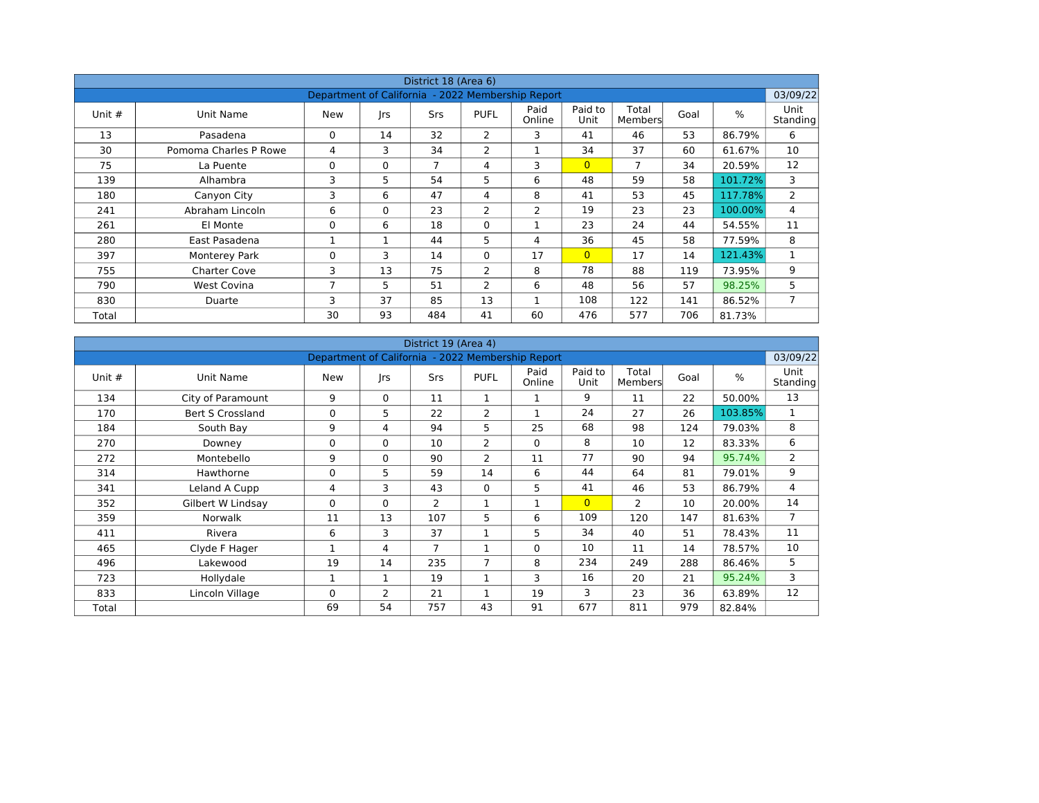|          |                       |                                                   |          | District 18 (Area 6) |                |                |                 |                  |      |         |                         |
|----------|-----------------------|---------------------------------------------------|----------|----------------------|----------------|----------------|-----------------|------------------|------|---------|-------------------------|
|          |                       | Department of California - 2022 Membership Report |          |                      |                |                |                 |                  |      |         | 03/09/22                |
| Unit $#$ | Unit Name             | <b>New</b>                                        | rs       | <b>Srs</b>           | <b>PUFL</b>    | Paid<br>Online | Paid to<br>Unit | Total<br>Members | Goal | %       | <b>Unit</b><br>Standing |
| 13       | Pasadena              | 0                                                 | 14       | 32                   | 2              | 3              | 41              | 46               | 53   | 86.79%  | 6                       |
| 30       | Pomoma Charles P Rowe | 4                                                 | 3        | 34                   | 2              | $\mathbf{1}$   | 34              | 37               | 60   | 61.67%  | 10                      |
| 75       | La Puente             | 0                                                 | 0        | 7                    | 4              | 3              | $\overline{0}$  | 7                | 34   | 20.59%  | 12                      |
| 139      | Alhambra              | 3                                                 | 5        | 54                   | 5              | 6              | 48              | 59               | 58   | 101.72% | 3                       |
| 180      | Canyon City           | 3                                                 | 6        | 47                   | $\overline{4}$ | 8              | 41              | 53               | 45   | 117.78% | $\mathbf{2}^{\prime}$   |
| 241      | Abraham Lincoln       | 6                                                 | $\Omega$ | 23                   | $\overline{2}$ | 2              | 19              | 23               | 23   | 100.00% | 4                       |
| 261      | El Monte              | 0                                                 | 6        | 18                   | $\mathbf 0$    |                | 23              | 24               | 44   | 54.55%  | 11                      |
| 280      | East Pasadena         | 1                                                 |          | 44                   | 5              | 4              | 36              | 45               | 58   | 77.59%  | 8                       |
| 397      | <b>Monterey Park</b>  | 0                                                 | 3        | 14                   | $\Omega$       | 17             | $\overline{0}$  | 17               | 14   | 121.43% | $\mathbf{1}$            |
| 755      | <b>Charter Cove</b>   | 3                                                 | 13       | 75                   | 2              | 8              | 78              | 88               | 119  | 73.95%  | 9                       |
| 790      | <b>West Covina</b>    | $\overline{7}$                                    | 5        | 51                   | 2              | 6              | 48              | 56               | 57   | 98.25%  | 5                       |
| 830      | Duarte                | 3                                                 | 37       | 85                   | 13             | $\mathbf{1}$   | 108             | 122              | 141  | 86.52%  | $\overline{7}$          |
| Total    |                       | 30                                                | 93       | 484                  | 41             | 60             | 476             | 577              | 706  | 81.73%  |                         |

|          |                         |                                                   |              | District 19 (Area 4) |                |                |                 |                  |      |         |                  |
|----------|-------------------------|---------------------------------------------------|--------------|----------------------|----------------|----------------|-----------------|------------------|------|---------|------------------|
|          |                         | Department of California - 2022 Membership Report |              |                      |                |                |                 |                  |      |         | 03/09/22         |
| Unit $#$ | Unit Name               | <b>New</b>                                        | rs           | Srs                  | <b>PUFL</b>    | Paid<br>Online | Paid to<br>Unit | Total<br>Members | Goal | $\%$    | Unit<br>Standing |
| 134      | City of Paramount       | 9                                                 | $\mathbf{0}$ | 11                   | $\mathbf 1$    | 1              | 9               | 11               | 22   | 50.00%  | 13               |
| 170      | <b>Bert S Crossland</b> | 0                                                 | 5            | 22                   | $\overline{2}$ | 1              | 24              | 27               | 26   | 103.85% | $\mathbf{1}$     |
| 184      | South Bay               | 9                                                 | 4            | 94                   | 5              | 25             | 68              | 98               | 124  | 79.03%  | 8                |
| 270      | Downey                  | 0                                                 | $\Omega$     | 10                   | 2              | $\Omega$       | 8               | 10               | 12   | 83.33%  | 6                |
| 272      | Montebello              | 9                                                 | $\Omega$     | 90                   | $\overline{2}$ | 11             | 77              | 90               | 94   | 95.74%  | $\overline{2}$   |
| 314      | Hawthorne               | 0                                                 | 5            | 59                   | 14             | 6              | 44              | 64               | 81   | 79.01%  | 9                |
| 341      | Leland A Cupp           | 4                                                 | 3            | 43                   | $\Omega$       | 5              | 41              | 46               | 53   | 86.79%  | 4                |
| 352      | Gilbert W Lindsay       | 0                                                 | $\mathbf{0}$ | 2                    | 1              | 1              | $\overline{0}$  | $\mathcal{P}$    | 10   | 20.00%  | 14               |
| 359      | Norwalk                 | 11                                                | 13           | 107                  | 5              | 6              | 109             | 120              | 147  | 81.63%  | $\overline{7}$   |
| 411      | Rivera                  | 6                                                 | 3            | 37                   | 1              | 5              | 34              | 40               | 51   | 78.43%  | 11               |
| 465      | Clyde F Hager           | 1                                                 | 4            | $\overline{7}$       | $\mathbf{1}$   | $\Omega$       | 10              | 11               | 14   | 78.57%  | 10               |
| 496      | Lakewood                | 19                                                | 14           | 235                  | $\overline{7}$ | 8              | 234             | 249              | 288  | 86.46%  | 5                |
| 723      | Hollydale               | $\mathbf{1}$                                      | 1            | 19                   | 1              | 3              | 16              | 20               | 21   | 95.24%  | 3                |
| 833      | Lincoln Village         | $\Omega$                                          | 2            | 21                   |                | 19             | 3               | 23               | 36   | 63.89%  | 12               |
| Total    |                         | 69                                                | 54           | 757                  | 43             | 91             | 677             | 811              | 979  | 82.84%  |                  |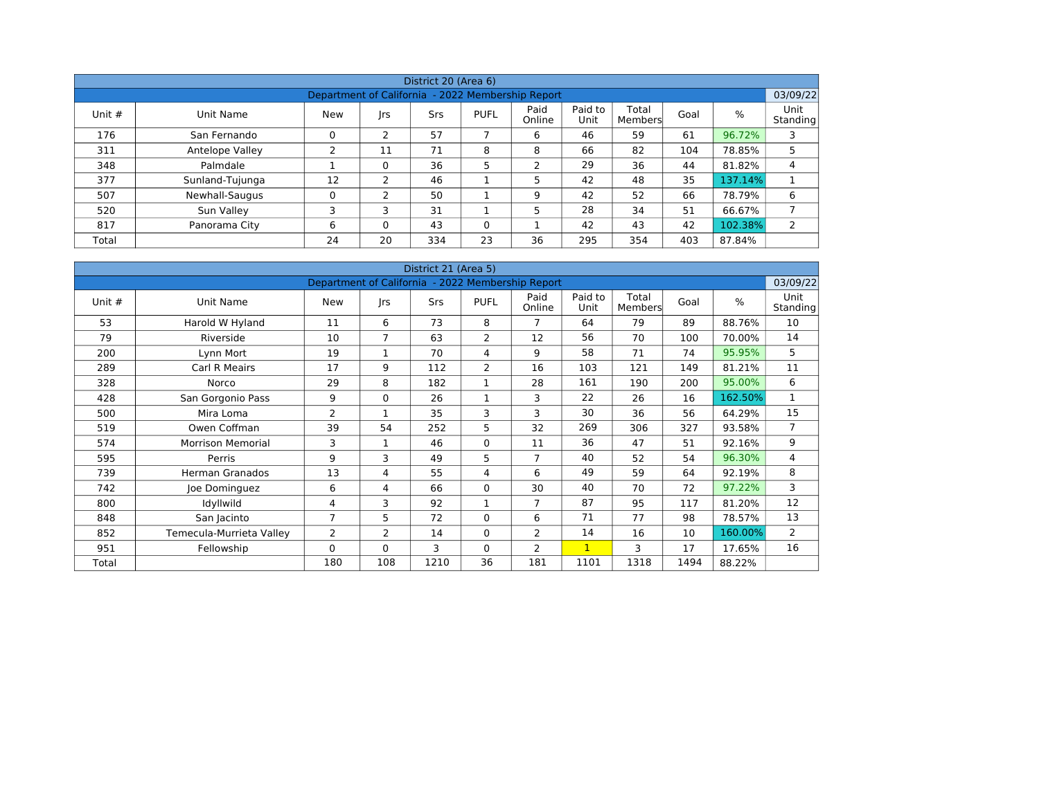|          |                 |                                                   |          | District 20 (Area 6) |             |                |                 |                  |      |         |                         |
|----------|-----------------|---------------------------------------------------|----------|----------------------|-------------|----------------|-----------------|------------------|------|---------|-------------------------|
|          |                 | Department of California - 2022 Membership Report |          |                      |             |                |                 |                  |      |         | 03/09/22                |
| Unit $#$ | Unit Name       | <b>New</b>                                        | rs       | Srs                  | <b>PUFL</b> | Paid<br>Online | Paid to<br>Unit | Total<br>Members | Goal | %       | <b>Unit</b><br>Standing |
| 176      | San Fernando    | 0                                                 | 2        | 57                   |             | 6              | 46              | 59               | 61   | 96.72%  | 3                       |
| 311      | Antelope Valley | っ                                                 | 11       | 71                   | 8           | 8              | 66              | 82               | 104  | 78.85%  | 5                       |
| 348      | Palmdale        |                                                   | $\Omega$ | 36                   | 5           | っ              | 29              | 36               | 44   | 81.82%  | 4                       |
| 377      | Sunland-Tujunga | 12                                                | 2        | 46                   |             | 5              | 42              | 48               | 35   | 137.14% |                         |
| 507      | Newhall-Saugus  | 0                                                 | 2        | 50                   |             | 9              | 42              | 52               | 66   | 78.79%  | 6                       |
| 520      | Sun Valley      | 3                                                 | ٦        | 31                   |             | 5              | 28              | 34               | 51   | 66.67%  | $\overline{ }$          |
| 817      | Panorama City   | 6                                                 | $\Omega$ | 43                   | $\Omega$    |                | 42              | 43               | 42   | 102.38% | 2                       |
| Total    |                 | 24                                                | 20       | 334                  | 23          | 36             | 295             | 354              | 403  | 87.84%  |                         |

|        |                          |                                                   |                | District 21 (Area 5) |                |                |                 |                  |      |         |                  |
|--------|--------------------------|---------------------------------------------------|----------------|----------------------|----------------|----------------|-----------------|------------------|------|---------|------------------|
|        |                          | Department of California - 2022 Membership Report |                |                      |                |                |                 |                  |      |         | 03/09/22         |
| Unit # | Unit Name                | <b>New</b>                                        | rs             | <b>Srs</b>           | <b>PUFL</b>    | Paid<br>Online | Paid to<br>Unit | Total<br>Members | Goal | $\%$    | Unit<br>Standing |
| 53     | Harold W Hyland          | 11                                                | 6              | 73                   | 8              | $\overline{7}$ | 64              | 79               | 89   | 88.76%  | 10               |
| 79     | Riverside                | 10                                                | $\overline{7}$ | 63                   | $\overline{2}$ | 12             | 56              | 70               | 100  | 70.00%  | 14               |
| 200    | Lynn Mort                | 19                                                | 1              | 70                   | 4              | 9              | 58              | 71               | 74   | 95.95%  | 5                |
| 289    | <b>Carl R Meairs</b>     | 17                                                | 9              | 112                  | $\overline{2}$ | 16             | 103             | 121              | 149  | 81.21%  | 11               |
| 328    | Norco                    | 29                                                | 8              | 182                  | $\mathbf 1$    | 28             | 161             | 190              | 200  | 95.00%  | 6                |
| 428    | San Gorgonio Pass        | 9                                                 | $\Omega$       | 26                   | 1              | 3              | 22              | 26               | 16   | 162.50% | $\mathbf{1}$     |
| 500    | Mira Loma                | 2                                                 | 1              | 35                   | 3              | 3              | 30              | 36               | 56   | 64.29%  | 15               |
| 519    | Owen Coffman             | 39                                                | 54             | 252                  | 5              | 32             | 269             | 306              | 327  | 93.58%  | $\overline{7}$   |
| 574    | <b>Morrison Memorial</b> | 3                                                 | 1              | 46                   | $\mathbf 0$    | 11             | 36              | 47               | 51   | 92.16%  | 9                |
| 595    | Perris                   | 9                                                 | 3              | 49                   | 5              | $\overline{7}$ | 40              | 52               | 54   | 96.30%  | $\overline{4}$   |
| 739    | <b>Herman Granados</b>   | 13                                                | 4              | 55                   | 4              | 6              | 49              | 59               | 64   | 92.19%  | 8                |
| 742    | Joe Dominguez            | 6                                                 | 4              | 66                   | 0              | 30             | 40              | 70               | 72   | 97.22%  | 3                |
| 800    | Idyllwild                | 4                                                 | 3              | 92                   | $\mathbf 1$    | $\overline{7}$ | 87              | 95               | 117  | 81.20%  | 12               |
| 848    | San Jacinto              | $\overline{7}$                                    | 5              | 72                   | $\Omega$       | 6              | 71              | 77               | 98   | 78.57%  | 13               |
| 852    | Temecula-Murrieta Valley | 2                                                 | $\overline{2}$ | 14                   | $\mathbf 0$    | 2              | 14              | 16               | 10   | 160.00% | 2                |
| 951    | Fellowship               | $\Omega$                                          | $\Omega$       | 3                    | $\Omega$       | 2              | $\mathbf{1}$    | 3                | 17   | 17.65%  | 16               |
| Total  |                          | 180                                               | 108            | 1210                 | 36             | 181            | 1101            | 1318             | 1494 | 88.22%  |                  |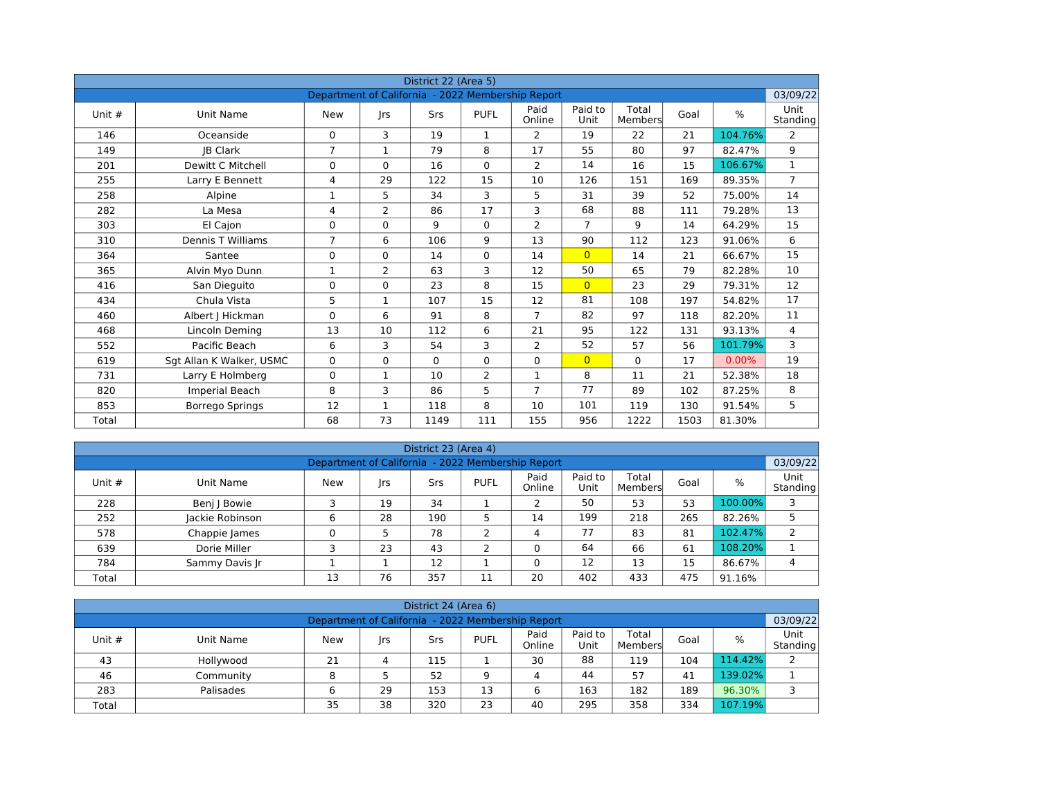|          |                          |                                                   |                | District 22 (Area 5) |                |                |                 |                  |      |          |                       |
|----------|--------------------------|---------------------------------------------------|----------------|----------------------|----------------|----------------|-----------------|------------------|------|----------|-----------------------|
|          |                          | Department of California - 2022 Membership Report |                |                      |                |                |                 |                  |      |          | 03/09/22              |
| Unit $#$ | Unit Name                | <b>New</b>                                        | Irs            | Srs                  | <b>PUFL</b>    | Paid<br>Online | Paid to<br>Unit | Total<br>Members | Goal | $\%$     | Unit<br>Standing      |
| 146      | Oceanside                | 0                                                 | 3              | 19                   | $\mathbf{1}$   | 2              | 19              | 22               | 21   | 104.76%  | $\mathbf{2}^{\prime}$ |
| 149      | <b>IB Clark</b>          | $\overline{7}$                                    | $\mathbf{1}$   | 79                   | 8              | 17             | 55              | 80               | 97   | 82.47%   | 9                     |
| 201      | Dewitt C Mitchell        | 0                                                 | $\Omega$       | 16                   | $\Omega$       | $\overline{2}$ | 14              | 16               | 15   | 106.67%  | $\mathbf{1}$          |
| 255      | Larry E Bennett          | 4                                                 | 29             | 122                  | 15             | 10             | 126             | 151              | 169  | 89.35%   | $\overline{7}$        |
| 258      | Alpine                   | 1                                                 | 5              | 34                   | $\overline{3}$ | 5              | 31              | 39               | 52   | 75.00%   | 14                    |
| 282      | La Mesa                  | 4                                                 | $\overline{2}$ | 86                   | 17             | 3              | 68              | 88               | 111  | 79.28%   | 13                    |
| 303      | El Cajon                 | 0                                                 | $\Omega$       | 9                    | $\Omega$       | 2              | $\overline{7}$  | 9                | 14   | 64.29%   | 15                    |
| 310      | Dennis T Williams        | $\overline{7}$                                    | 6              | 106                  | 9              | 13             | 90              | 112              | 123  | 91.06%   | 6                     |
| 364      | Santee                   | 0                                                 | $\Omega$       | 14                   | $\Omega$       | 14             | $\overline{0}$  | 14               | 21   | 66.67%   | 15                    |
| 365      | Alvin Myo Dunn           | 1                                                 | $\overline{2}$ | 63                   | 3              | 12             | 50              | 65               | 79   | 82.28%   | 10                    |
| 416      | San Dieguito             | $\Omega$                                          | $\Omega$       | 23                   | 8              | 15             | $\overline{0}$  | 23               | 29   | 79.31%   | 12                    |
| 434      | Chula Vista              | 5                                                 | $\mathbf 1$    | 107                  | 15             | 12             | 81              | 108              | 197  | 54.82%   | 17                    |
| 460      | Albert   Hickman         | $\Omega$                                          | 6              | 91                   | 8              | $\overline{7}$ | 82              | 97               | 118  | 82.20%   | 11                    |
| 468      | Lincoln Deming           | 13                                                | 10             | 112                  | 6              | 21             | 95              | 122              | 131  | 93.13%   | 4                     |
| 552      | Pacific Beach            | 6                                                 | 3              | 54                   | 3              | 2              | 52              | 57               | 56   | 101.79%  | 3                     |
| 619      | Sgt Allan K Walker, USMC | 0                                                 | $\Omega$       | $\Omega$             | $\Omega$       | $\mathbf 0$    | $\overline{0}$  | $\Omega$         | 17   | $0.00\%$ | 19                    |
| 731      | Larry E Holmberg         | 0                                                 | $\mathbf{1}$   | 10                   | $\overline{2}$ | $\mathbf{1}$   | 8               | 11               | 21   | 52.38%   | 18                    |
| 820      | Imperial Beach           | 8                                                 | 3              | 86                   | 5              | $\overline{7}$ | 77              | 89               | 102  | 87.25%   | 8                     |
| 853      | Borrego Springs          | 12                                                | $\mathbf 1$    | 118                  | 8              | 10             | 101             | 119              | 130  | 91.54%   | 5                     |
| Total    |                          | 68                                                | 73             | 1149                 | 111            | 155            | 956             | 1222             | 1503 | 81.30%   |                       |

|          |                 |                                                   |    | District 23 (Area 4) |                |                |                 |                  |      |         |                         |
|----------|-----------------|---------------------------------------------------|----|----------------------|----------------|----------------|-----------------|------------------|------|---------|-------------------------|
|          |                 | Department of California - 2022 Membership Report |    |                      |                |                |                 |                  |      |         | 03/09/22                |
| Unit $#$ | Unit Name       | <b>New</b>                                        | rs | Srs                  | <b>PUFL</b>    | Paid<br>Online | Paid to<br>Unit | Total<br>Members | Goal | %       | <b>Unit</b><br>Standing |
| 228      | Benj   Bowie    |                                                   | 19 | 34                   |                |                | 50              | 53               | 53   | 100.00% | 3                       |
| 252      | Jackie Robinson | 6                                                 | 28 | 190                  |                | 14             | 199             | 218              | 265  | 82.26%  |                         |
| 578      | Chappie James   |                                                   |    | 78                   | っ              | 4              | 77              | 83               | 81   | 102.47% | 2                       |
| 639      | Dorie Miller    |                                                   | 23 | 43                   | $\overline{2}$ | 0              | 64              | 66               | 61   | 108.20% |                         |
| 784      | Sammy Davis Jr  |                                                   |    | 12                   |                | 0              | 12              | 13               | 15   | 86.67%  | 4                       |
| Total    |                 | 13                                                | 76 | 357                  | 11             | 20             | 402             | 433              | 475  | 91.16%  |                         |

|          |                                                                                                                                                |    |    | District 24 (Area 6) |    |    |     |     |     |         |   |  |  |  |  |
|----------|------------------------------------------------------------------------------------------------------------------------------------------------|----|----|----------------------|----|----|-----|-----|-----|---------|---|--|--|--|--|
|          | 03/09/22<br>Department of California - 2022 Membership Report                                                                                  |    |    |                      |    |    |     |     |     |         |   |  |  |  |  |
| Unit $#$ | Unit<br>Paid<br>Paid to<br>Total<br>%<br><b>PUFL</b><br>Goal<br><b>New</b><br>Srs<br>Unit Name<br> rs<br>Unit<br>Online<br>Standing<br>Members |    |    |                      |    |    |     |     |     |         |   |  |  |  |  |
| 43       | Hollywood                                                                                                                                      | 21 |    | 115                  |    | 30 | 88  | 119 | 104 | 114.42% |   |  |  |  |  |
| 46       | Community                                                                                                                                      | 8  |    | 52                   | 9  | 4  | 44  | 57  | 41  | 139.02% |   |  |  |  |  |
| 283      | Palisades                                                                                                                                      | 6  | 29 | 153                  | 13 | 6  | 163 | 182 | 189 | 96.30%  | ∍ |  |  |  |  |
| Total    |                                                                                                                                                | 35 | 38 | 320                  | 23 | 40 | 295 | 358 | 334 | 107.19% |   |  |  |  |  |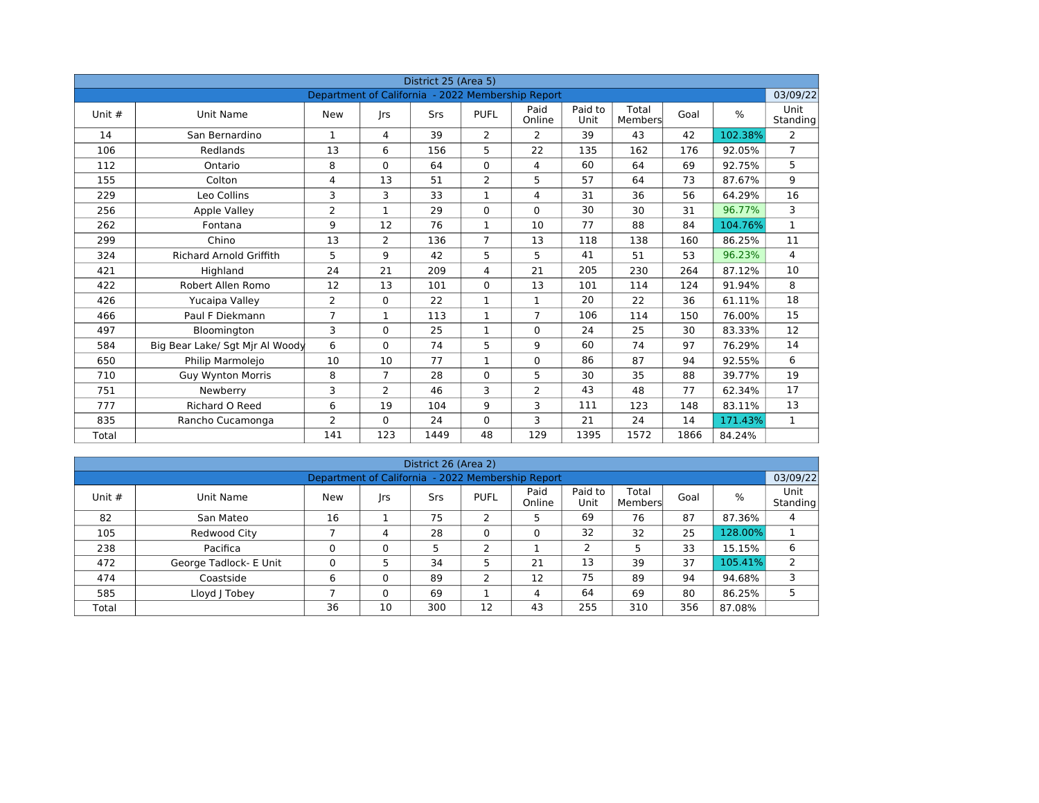|          |                                 |                                                   |                | District 25 (Area 5) |                |                |                 |                  |      |               |                  |
|----------|---------------------------------|---------------------------------------------------|----------------|----------------------|----------------|----------------|-----------------|------------------|------|---------------|------------------|
|          |                                 | Department of California - 2022 Membership Report |                |                      |                |                |                 |                  |      |               | 03/09/22         |
| Unit $#$ | Unit Name                       | <b>New</b>                                        | <b>Irs</b>     | Srs                  | <b>PUFL</b>    | Paid<br>Online | Paid to<br>Unit | Total<br>Members | Goal | $\frac{0}{0}$ | Unit<br>Standing |
| 14       | San Bernardino                  | 1                                                 | 4              | 39                   | $\overline{2}$ | 2              | 39              | 43               | 42   | 102.38%       | $\overline{2}$   |
| 106      | Redlands                        | 13                                                | 6              | 156                  | 5              | 22             | 135             | 162              | 176  | 92.05%        | $\overline{7}$   |
| 112      | Ontario                         | 8                                                 | $\Omega$       | 64                   | $\Omega$       | 4              | 60              | 64               | 69   | 92.75%        | 5                |
| 155      | Colton                          | 4                                                 | 13             | 51                   | $\overline{2}$ | 5              | 57              | 64               | 73   | 87.67%        | 9                |
| 229      | Leo Collins                     | 3                                                 | 3              | 33                   | $\mathbf{1}$   | $\overline{4}$ | 31              | 36               | 56   | 64.29%        | 16               |
| 256      | Apple Valley                    | $\overline{2}$                                    | $\mathbf{1}$   | 29                   | $\Omega$       | $\Omega$       | 30              | 30               | 31   | 96.77%        | 3                |
| 262      | Fontana                         | 9                                                 | 12             | 76                   | $\mathbf{1}$   | 10             | 77              | 88               | 84   | 104.76%       | $\mathbf{1}$     |
| 299      | Chino                           | 13                                                | $\overline{2}$ | 136                  | $\overline{7}$ | 13             | 118             | 138              | 160  | 86.25%        | 11               |
| 324      | <b>Richard Arnold Griffith</b>  | 5                                                 | 9              | 42                   | 5              | 5              | 41              | 51               | 53   | 96.23%        | $\overline{4}$   |
| 421      | Highland                        | 24                                                | 21             | 209                  | 4              | 21             | 205             | 230              | 264  | 87.12%        | 10               |
| 422      | Robert Allen Romo               | 12                                                | 13             | 101                  | $\Omega$       | 13             | 101             | 114              | 124  | 91.94%        | 8                |
| 426      | Yucaipa Valley                  | $\overline{2}$                                    | 0              | 22                   | $\mathbf{1}$   | $\mathbf{1}$   | 20              | 22               | 36   | 61.11%        | 18               |
| 466      | Paul F Diekmann                 | $\overline{7}$                                    | $\mathbf{1}$   | 113                  | $\mathbf{1}$   | $\overline{7}$ | 106             | 114              | 150  | 76.00%        | 15               |
| 497      | Bloomington                     | 3                                                 | $\Omega$       | 25                   | $\mathbf{1}$   | $\mathbf 0$    | 24              | 25               | 30   | 83.33%        | 12               |
| 584      | Big Bear Lake/ Sgt Mir Al Woody | 6                                                 | $\Omega$       | 74                   | 5              | 9              | 60              | 74               | 97   | 76.29%        | 14               |
| 650      | Philip Marmolejo                | 10                                                | 10             | 77                   | $\mathbf{1}$   | 0              | 86              | 87               | 94   | 92.55%        | 6                |
| 710      | <b>Guy Wynton Morris</b>        | 8                                                 | $\overline{7}$ | 28                   | $\Omega$       | 5              | 30              | 35               | 88   | 39.77%        | 19               |
| 751      | Newberry                        | 3                                                 | $\overline{2}$ | 46                   | 3              | $\overline{2}$ | 43              | 48               | 77   | 62.34%        | 17               |
| 777      | Richard O Reed                  | 6                                                 | 19             | 104                  | 9              | 3              | 111             | 123              | 148  | 83.11%        | 13               |
| 835      | Rancho Cucamonga                | 2                                                 | $\Omega$       | 24                   | $\mathbf 0$    | 3              | 21              | 24               | 14   | 171.43%       | $\mathbf{1}$     |
| Total    |                                 | 141                                               | 123            | 1449                 | 48             | 129            | 1395            | 1572             | 1866 | 84.24%        |                  |

|          |                        |                                                   |          | District 26 (Area 2) |             |                |                 |                  |      |            |                         |
|----------|------------------------|---------------------------------------------------|----------|----------------------|-------------|----------------|-----------------|------------------|------|------------|-------------------------|
|          |                        | Department of California - 2022 Membership Report |          |                      |             |                |                 |                  |      |            | 03/09/22                |
| Unit $#$ | Unit Name              | New                                               | rs       | <b>Srs</b>           | <b>PUFL</b> | Paid<br>Online | Paid to<br>Unit | Total<br>Members | Goal | %          | <b>Unit</b><br>Standing |
| 82       | San Mateo              | 16                                                |          | 75                   | ∍<br>∠      | 5              | 69              | 76               | 87   | 87.36%     | 4                       |
| 105      | Redwood City           |                                                   | 4        | 28                   | 0           | 0              | 32              | 32               | 25   | 128.00%    |                         |
| 238      | Pacifica               | $\Omega$                                          | $\Omega$ | 5                    | C.          |                | 2               | 5                | 33   | 15.15%     | 6                       |
| 472      | George Tadlock- E Unit | 0                                                 |          | 34                   | 5           | 21             | 13              | 39               | 37   | $105.41\%$ |                         |
| 474      | Coastside              | 6                                                 | 0        | 89                   | 2           | 12             | 75              | 89               | 94   | 94.68%     | 3                       |
| 585      | Lloyd J Tobey          |                                                   | $\Omega$ | 69                   |             | 4              | 64              | 69               | 80   | 86.25%     |                         |
| Total    |                        | 36                                                | 10       | 300                  | 12          | 43             | 255             | 310              | 356  | 87.08%     |                         |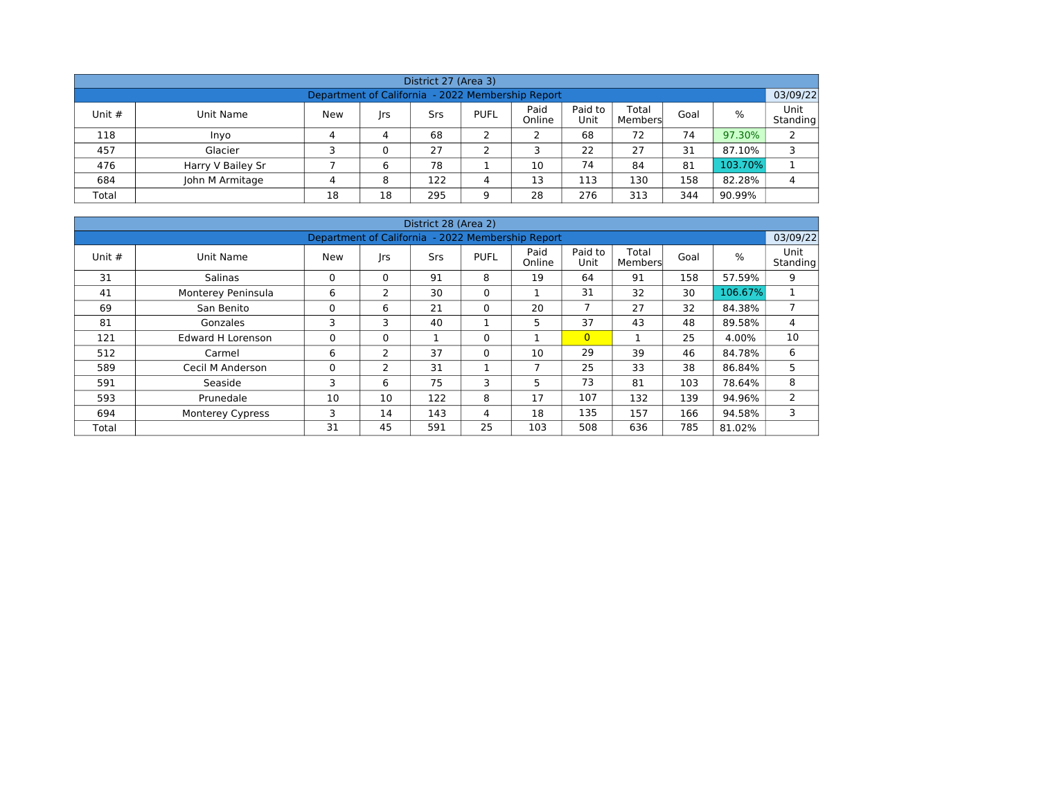| District 27 (Area 3) |                                                                                                                                        |    |    |     |   |                                                   |     |     |     |         |          |  |  |  |  |
|----------------------|----------------------------------------------------------------------------------------------------------------------------------------|----|----|-----|---|---------------------------------------------------|-----|-----|-----|---------|----------|--|--|--|--|
|                      |                                                                                                                                        |    |    |     |   | Department of California - 2022 Membership Report |     |     |     |         | 03/09/22 |  |  |  |  |
| Unit $#$             | Paid<br>Paid to<br>Total<br>%<br><b>PUFL</b><br><b>New</b><br>Goal<br>Unit Name<br>Srs<br> rs<br>Online<br>Unit<br>Standing<br>Members |    |    |     |   |                                                   |     |     |     |         |          |  |  |  |  |
| 118                  | Inyo                                                                                                                                   | 4  | 4  | 68  |   | ∠                                                 | 68  | 72  | 74  | 97.30%  | 2        |  |  |  |  |
| 457                  | Glacier                                                                                                                                | ∍  | 0  | 27  |   |                                                   | 22  | 27  | 31  | 87.10%  | 3        |  |  |  |  |
| 476                  | Harry V Bailey Sr                                                                                                                      |    | 6  | 78  |   | 10                                                | 74  | 84  | 81  | 103.70% |          |  |  |  |  |
| 684                  | John M Armitage                                                                                                                        | 4  | 8  | 122 | 4 | 13                                                | 113 | 130 | 158 | 82.28%  | 4        |  |  |  |  |
| Total                |                                                                                                                                        | 18 | 18 | 295 | q | 28                                                | 276 | 313 | 344 | 90.99%  |          |  |  |  |  |

|          |                          |                                                   |          | District 28 (Area 2) |             |                |                 |                  |      |         |                  |
|----------|--------------------------|---------------------------------------------------|----------|----------------------|-------------|----------------|-----------------|------------------|------|---------|------------------|
|          |                          | Department of California - 2022 Membership Report |          |                      |             |                |                 |                  |      |         | 03/09/22         |
| Unit $#$ | Unit Name                | New                                               | rs       | <b>Srs</b>           | <b>PUFL</b> | Paid<br>Online | Paid to<br>Unit | Total<br>Members | Goal | %       | Unit<br>Standing |
| 31       | <b>Salinas</b>           | 0                                                 | $\Omega$ | 91                   | 8           | 19             | 64              | 91               | 158  | 57.59%  | 9                |
| 41       | Monterey Peninsula       | 6                                                 | 2        | 30                   | $\Omega$    |                | 31              | 32               | 30   | 106.67% | $\mathbf{1}$     |
| 69       | San Benito               | 0                                                 | 6        | 21                   | $\Omega$    | 20             | 7               | 27               | 32   | 84.38%  | 7                |
| 81       | Gonzales                 | 3                                                 | 3        | 40                   |             | 5              | 37              | 43               | 48   | 89.58%  | 4                |
| 121      | <b>Edward H Lorenson</b> | 0                                                 | $\Omega$ |                      | 0           |                | $\overline{0}$  | 1                | 25   | 4.00%   | 10               |
| 512      | Carmel                   | 6                                                 | 2        | 37                   | $\Omega$    | 10             | 29              | 39               | 46   | 84.78%  | 6                |
| 589      | Cecil M Anderson         | 0                                                 | 2        | 31                   |             | 7              | 25              | 33               | 38   | 86.84%  | 5                |
| 591      | Seaside                  | 3                                                 | 6        | 75                   | 3           | 5              | 73              | 81               | 103  | 78.64%  | 8                |
| 593      | Prunedale                | 10                                                | 10       | 122                  | 8           | 17             | 107             | 132              | 139  | 94.96%  | $\mathbf{2}$     |
| 694      | <b>Monterey Cypress</b>  | 3                                                 | 14       | 143                  | 4           | 18             | 135             | 157              | 166  | 94.58%  | 3                |
| Total    |                          | 31                                                | 45       | 591                  | 25          | 103            | 508             | 636              | 785  | 81.02%  |                  |